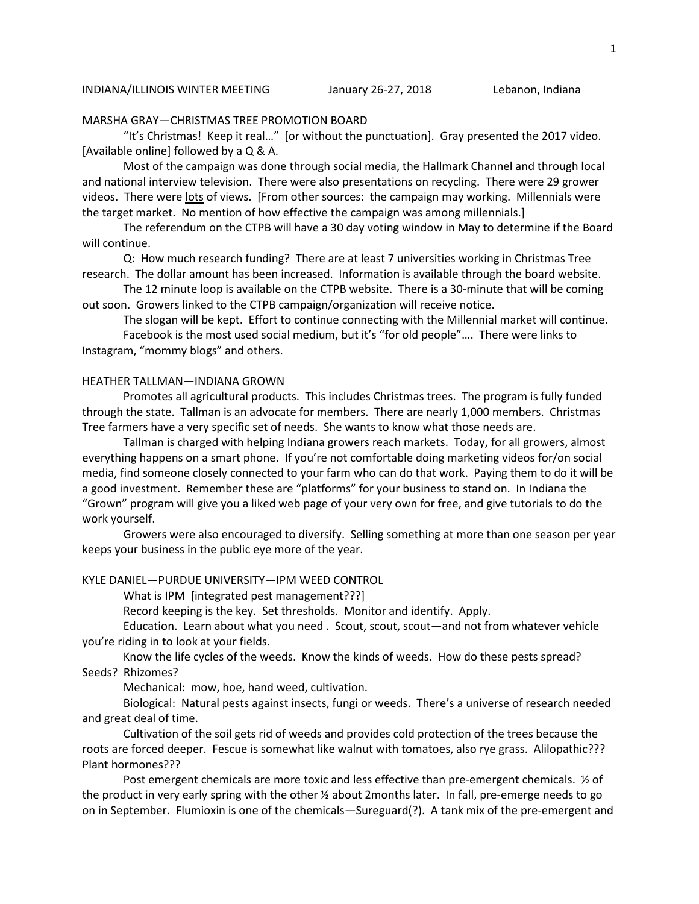#### MARSHA GRAY—CHRISTMAS TREE PROMOTION BOARD

 "It's Christmas! Keep it real…" [or without the punctuation]. Gray presented the 2017 video. [Available online] followed by a Q & A.

 Most of the campaign was done through social media, the Hallmark Channel and through local and national interview television. There were also presentations on recycling. There were 29 grower videos. There were lots of views. [From other sources: the campaign may working. Millennials were the target market. No mention of how effective the campaign was among millennials.]

 The referendum on the CTPB will have a 30 day voting window in May to determine if the Board will continue.

 Q: How much research funding? There are at least 7 universities working in Christmas Tree research. The dollar amount has been increased. Information is available through the board website.

 The 12 minute loop is available on the CTPB website. There is a 30-minute that will be coming out soon. Growers linked to the CTPB campaign/organization will receive notice.

The slogan will be kept. Effort to continue connecting with the Millennial market will continue.

 Facebook is the most used social medium, but it's "for old people"…. There were links to Instagram, "mommy blogs" and others.

#### HEATHER TALLMAN—INDIANA GROWN

 Promotes all agricultural products. This includes Christmas trees. The program is fully funded through the state. Tallman is an advocate for members. There are nearly 1,000 members. Christmas Tree farmers have a very specific set of needs. She wants to know what those needs are.

 Tallman is charged with helping Indiana growers reach markets. Today, for all growers, almost everything happens on a smart phone. If you're not comfortable doing marketing videos for/on social media, find someone closely connected to your farm who can do that work. Paying them to do it will be a good investment. Remember these are "platforms" for your business to stand on. In Indiana the "Grown" program will give you a liked web page of your very own for free, and give tutorials to do the work yourself.

 Growers were also encouraged to diversify. Selling something at more than one season per year keeps your business in the public eye more of the year.

### KYLE DANIEL—PURDUE UNIVERSITY—IPM WEED CONTROL

What is IPM [integrated pest management???]

Record keeping is the key. Set thresholds. Monitor and identify. Apply.

 Education. Learn about what you need . Scout, scout, scout—and not from whatever vehicle you're riding in to look at your fields.

 Know the life cycles of the weeds. Know the kinds of weeds. How do these pests spread? Seeds? Rhizomes?

Mechanical: mow, hoe, hand weed, cultivation.

 Biological: Natural pests against insects, fungi or weeds. There's a universe of research needed and great deal of time.

 Cultivation of the soil gets rid of weeds and provides cold protection of the trees because the roots are forced deeper. Fescue is somewhat like walnut with tomatoes, also rye grass. Alilopathic??? Plant hormones???

Post emergent chemicals are more toxic and less effective than pre-emergent chemicals.  $\frac{1}{2}$  of the product in very early spring with the other ½ about 2months later. In fall, pre-emerge needs to go on in September. Flumioxin is one of the chemicals—Sureguard(?). A tank mix of the pre-emergent and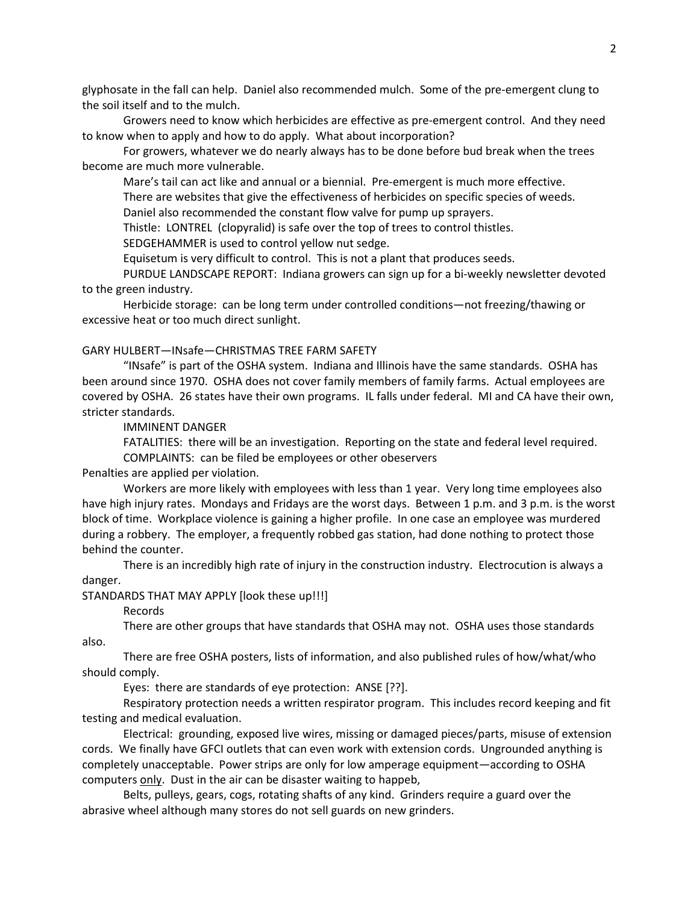glyphosate in the fall can help. Daniel also recommended mulch. Some of the pre-emergent clung to the soil itself and to the mulch.

 Growers need to know which herbicides are effective as pre-emergent control. And they need to know when to apply and how to do apply. What about incorporation?

 For growers, whatever we do nearly always has to be done before bud break when the trees become are much more vulnerable.

Mare's tail can act like and annual or a biennial. Pre-emergent is much more effective.

There are websites that give the effectiveness of herbicides on specific species of weeds.

Daniel also recommended the constant flow valve for pump up sprayers.

Thistle: LONTREL (clopyralid) is safe over the top of trees to control thistles.

SEDGEHAMMER is used to control yellow nut sedge.

Equisetum is very difficult to control. This is not a plant that produces seeds.

 PURDUE LANDSCAPE REPORT: Indiana growers can sign up for a bi-weekly newsletter devoted to the green industry.

 Herbicide storage: can be long term under controlled conditions—not freezing/thawing or excessive heat or too much direct sunlight.

### GARY HULBERT—INsafe—CHRISTMAS TREE FARM SAFETY

 "INsafe" is part of the OSHA system. Indiana and Illinois have the same standards. OSHA has been around since 1970. OSHA does not cover family members of family farms. Actual employees are covered by OSHA. 26 states have their own programs. IL falls under federal. MI and CA have their own, stricter standards.

IMMINENT DANGER

 FATALITIES: there will be an investigation. Reporting on the state and federal level required. COMPLAINTS: can be filed be employees or other obeservers

Penalties are applied per violation.

 Workers are more likely with employees with less than 1 year. Very long time employees also have high injury rates. Mondays and Fridays are the worst days. Between 1 p.m. and 3 p.m. is the worst block of time. Workplace violence is gaining a higher profile. In one case an employee was murdered during a robbery. The employer, a frequently robbed gas station, had done nothing to protect those behind the counter.

 There is an incredibly high rate of injury in the construction industry. Electrocution is always a danger.

STANDARDS THAT MAY APPLY [look these up!!!]

Records

 There are other groups that have standards that OSHA may not. OSHA uses those standards also.

 There are free OSHA posters, lists of information, and also published rules of how/what/who should comply.

Eyes: there are standards of eye protection: ANSE [??].

 Respiratory protection needs a written respirator program. This includes record keeping and fit testing and medical evaluation.

 Electrical: grounding, exposed live wires, missing or damaged pieces/parts, misuse of extension cords. We finally have GFCI outlets that can even work with extension cords. Ungrounded anything is completely unacceptable. Power strips are only for low amperage equipment—according to OSHA computers only. Dust in the air can be disaster waiting to happeb,

 Belts, pulleys, gears, cogs, rotating shafts of any kind. Grinders require a guard over the abrasive wheel although many stores do not sell guards on new grinders.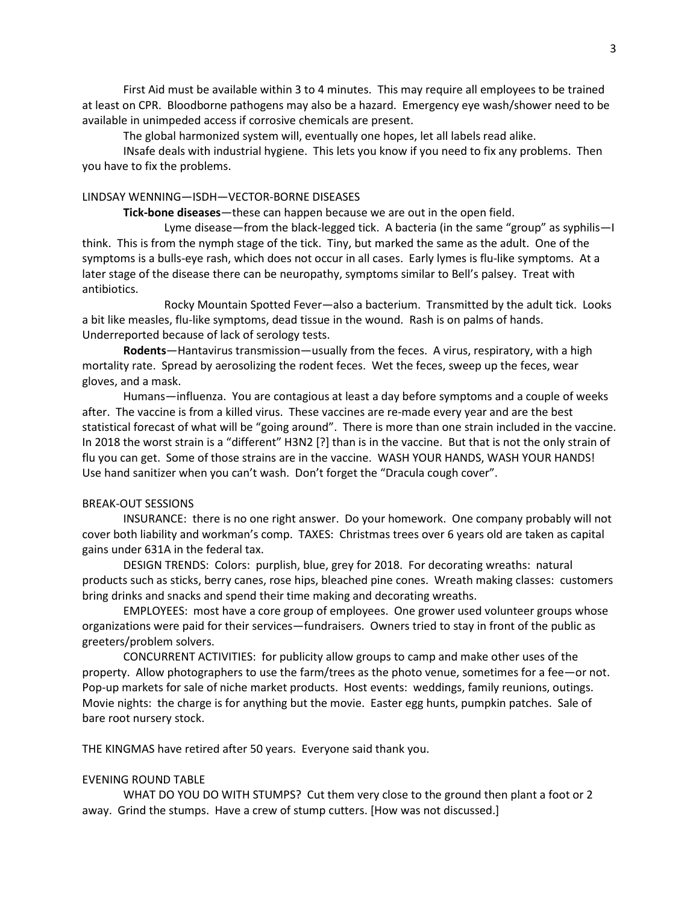First Aid must be available within 3 to 4 minutes. This may require all employees to be trained at least on CPR. Bloodborne pathogens may also be a hazard. Emergency eye wash/shower need to be available in unimpeded access if corrosive chemicals are present.

The global harmonized system will, eventually one hopes, let all labels read alike.

 INsafe deals with industrial hygiene. This lets you know if you need to fix any problems. Then you have to fix the problems.

# LINDSAY WENNING—ISDH—VECTOR-BORNE DISEASES

**Tick-bone diseases**—these can happen because we are out in the open field.

 Lyme disease—from the black-legged tick. A bacteria (in the same "group" as syphilis—I think. This is from the nymph stage of the tick. Tiny, but marked the same as the adult. One of the symptoms is a bulls-eye rash, which does not occur in all cases. Early lymes is flu-like symptoms. At a later stage of the disease there can be neuropathy, symptoms similar to Bell's palsey. Treat with antibiotics.

 Rocky Mountain Spotted Fever—also a bacterium. Transmitted by the adult tick. Looks a bit like measles, flu-like symptoms, dead tissue in the wound. Rash is on palms of hands. Underreported because of lack of serology tests.

**Rodents**—Hantavirus transmission—usually from the feces. A virus, respiratory, with a high mortality rate. Spread by aerosolizing the rodent feces. Wet the feces, sweep up the feces, wear gloves, and a mask.

 Humans—influenza. You are contagious at least a day before symptoms and a couple of weeks after. The vaccine is from a killed virus. These vaccines are re-made every year and are the best statistical forecast of what will be "going around". There is more than one strain included in the vaccine. In 2018 the worst strain is a "different" H3N2 [?] than is in the vaccine. But that is not the only strain of flu you can get. Some of those strains are in the vaccine. WASH YOUR HANDS, WASH YOUR HANDS! Use hand sanitizer when you can't wash. Don't forget the "Dracula cough cover".

# BREAK-OUT SESSIONS

 INSURANCE: there is no one right answer. Do your homework. One company probably will not cover both liability and workman's comp. TAXES: Christmas trees over 6 years old are taken as capital gains under 631A in the federal tax.

 DESIGN TRENDS: Colors: purplish, blue, grey for 2018. For decorating wreaths: natural products such as sticks, berry canes, rose hips, bleached pine cones. Wreath making classes: customers bring drinks and snacks and spend their time making and decorating wreaths.

 EMPLOYEES: most have a core group of employees. One grower used volunteer groups whose organizations were paid for their services—fundraisers. Owners tried to stay in front of the public as greeters/problem solvers.

 CONCURRENT ACTIVITIES: for publicity allow groups to camp and make other uses of the property. Allow photographers to use the farm/trees as the photo venue, sometimes for a fee—or not. Pop-up markets for sale of niche market products. Host events: weddings, family reunions, outings. Movie nights: the charge is for anything but the movie. Easter egg hunts, pumpkin patches. Sale of bare root nursery stock.

THE KINGMAS have retired after 50 years. Everyone said thank you.

# EVENING ROUND TABLE

 WHAT DO YOU DO WITH STUMPS? Cut them very close to the ground then plant a foot or 2 away. Grind the stumps. Have a crew of stump cutters. [How was not discussed.]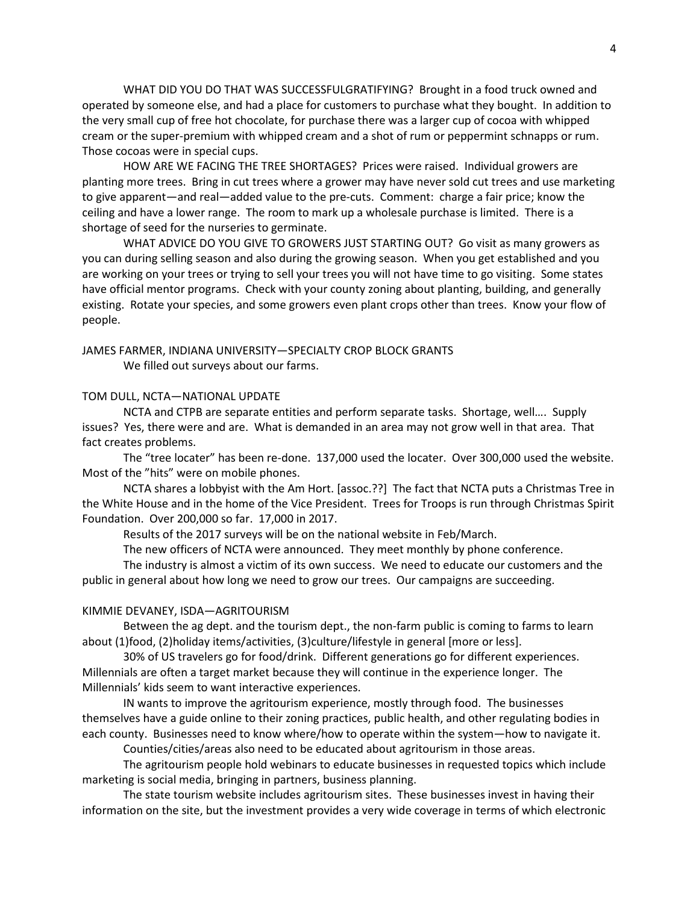WHAT DID YOU DO THAT WAS SUCCESSFULGRATIFYING? Brought in a food truck owned and operated by someone else, and had a place for customers to purchase what they bought. In addition to the very small cup of free hot chocolate, for purchase there was a larger cup of cocoa with whipped cream or the super-premium with whipped cream and a shot of rum or peppermint schnapps or rum. Those cocoas were in special cups.

 HOW ARE WE FACING THE TREE SHORTAGES? Prices were raised. Individual growers are planting more trees. Bring in cut trees where a grower may have never sold cut trees and use marketing to give apparent—and real—added value to the pre-cuts. Comment: charge a fair price; know the ceiling and have a lower range. The room to mark up a wholesale purchase is limited. There is a shortage of seed for the nurseries to germinate.

 WHAT ADVICE DO YOU GIVE TO GROWERS JUST STARTING OUT? Go visit as many growers as you can during selling season and also during the growing season. When you get established and you are working on your trees or trying to sell your trees you will not have time to go visiting. Some states have official mentor programs. Check with your county zoning about planting, building, and generally existing. Rotate your species, and some growers even plant crops other than trees. Know your flow of people.

# JAMES FARMER, INDIANA UNIVERSITY—SPECIALTY CROP BLOCK GRANTS We filled out surveys about our farms.

#### TOM DULL, NCTA—NATIONAL UPDATE

 NCTA and CTPB are separate entities and perform separate tasks. Shortage, well…. Supply issues? Yes, there were and are. What is demanded in an area may not grow well in that area. That fact creates problems.

 The "tree locater" has been re-done. 137,000 used the locater. Over 300,000 used the website. Most of the "hits" were on mobile phones.

 NCTA shares a lobbyist with the Am Hort. [assoc.??] The fact that NCTA puts a Christmas Tree in the White House and in the home of the Vice President. Trees for Troops is run through Christmas Spirit Foundation. Over 200,000 so far. 17,000 in 2017.

Results of the 2017 surveys will be on the national website in Feb/March.

The new officers of NCTA were announced. They meet monthly by phone conference.

 The industry is almost a victim of its own success. We need to educate our customers and the public in general about how long we need to grow our trees. Our campaigns are succeeding.

#### KIMMIE DEVANEY, ISDA—AGRITOURISM

 Between the ag dept. and the tourism dept., the non-farm public is coming to farms to learn about (1)food, (2)holiday items/activities, (3)culture/lifestyle in general [more or less].

 30% of US travelers go for food/drink. Different generations go for different experiences. Millennials are often a target market because they will continue in the experience longer. The Millennials' kids seem to want interactive experiences.

 IN wants to improve the agritourism experience, mostly through food. The businesses themselves have a guide online to their zoning practices, public health, and other regulating bodies in each county. Businesses need to know where/how to operate within the system—how to navigate it.

Counties/cities/areas also need to be educated about agritourism in those areas.

 The agritourism people hold webinars to educate businesses in requested topics which include marketing is social media, bringing in partners, business planning.

 The state tourism website includes agritourism sites. These businesses invest in having their information on the site, but the investment provides a very wide coverage in terms of which electronic